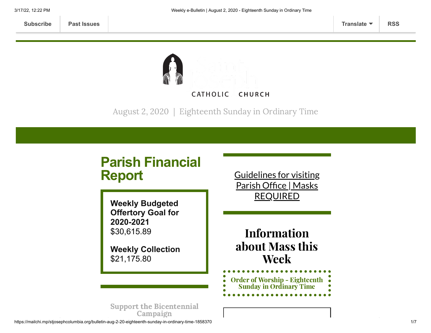

August 2, 2020 | Eighteenth Sunday in Ordinary Time

# **Parish Financial Report**

**Weekly Budgeted Offertory Goal for 2020-2021** \$30,615.89

**Weekly Collection** \$21,175.80

Guidelines for visiting Parish Office | Masks [REQUIRED](https://www.stjosephcolumbia.org/church-and-parish-office-hours)

Information about Mass this Week

Order of Worship - [Eighteenth](https://84aadc19-53c5-40cc-90da-b6ef66a7e382.filesusr.com/ugd/2de225_16059fe7f98041e5ba93321796cd4000.pdf) Sunday in Ordinary Time

Support the [Bicentennial](https://www.stjosephcolumbia.org/bicentennial-campaign) Campaign

https://mailchi.mp/stjosephcolumbia.org/bulletin-aug-2-20-eighteenth-sunday-in-ordinary-time-1858370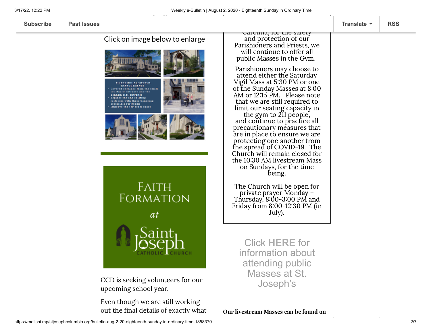**[Subscribe](http://eepurl.com/ded6Lz) [Past Issues](https://us9.campaign-archive.com/home/?u=7399f6b35c8ab775fb1714c3d&id=770b4a80d3) [Translate](javascript:;) [RSS](https://us9.campaign-archive.com/feed?u=7399f6b35c8ab775fb1714c3d&id=770b4a80d3)**

Click on image below to enlarge



CCD is seeking volunteers for our upcoming school year.

Even though we are still working out the final details of exactly what

Carolina, for the safety and protection of our Parishioners and Priests, we will continue to offer all public Masses in the Gym.

Parishioners may choose to attend either the Saturday Vigil Mass at 5:30 PM or one of the Sunday Masses at 8:00 AM or 12:15 PM. Please note that we are still required to limit our seating capacity in the gym to 211 people,

and continue to practice all precautionary measures that are in place to ensure we are protecting one another from the spread of COVID-19. The Church will remain closed for the 10:30 AM livestream Mass on Sundays, for the time being.

The Church will be open for private prayer Monday – Thursday, 8:00-3:00 PM and Friday from 8:00-12:30 PM (in July).

Click **[HERE](https://www.stjosephcolumbia.org/resuming-public-masses)** for information about attending public Masses at St. Joseph's

Our livestream Masses can be found on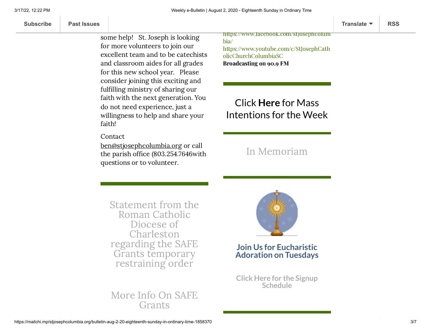we know we are going to need to some help! St. Joseph is looking for more volunteers to join our excellent team and to be catechists and classroom aides for all grades for this new school year. Please consider joining this exciting and fulfilling ministry of sharing our faith with the next generation. You do not need experience, just a willingness to help and share your faith!

this upcoming year will look like

#### Contact

[ben@stjosephcolumbia.org](mailto:ben@stjosephcolumbia.org%C2%A0) or call the parish office (803.254.7646with questions or to volunteer.

[https://www.facebook.com/stjosephcolum](https://www.facebook.com/stjosephcolumbia/) bia/ [https://www.youtube.com/c/StJosephCath](https://www.youtube.com/c/StJosephCatholicChurchColumbiaSC) olicChurchColumbiaSC Broadcasting on 90.9 FM

# Click **Here** for Mass [Intentions for](https://www.stjosephcolumbia.org/mass-intentions) the Week

## In [Memoriam](https://www.stjosephcolumbia.org/in-memoriam)

Statement from the Roman Catholic Diocese of [Charleston](https://files.constantcontact.com/4eac7125301/bee1f41b-753e-497a-97c9-3699cd3506a4.pdf) regarding the SAFE Grants temporary restraining order

### More Info On SAFE **[Grants](https://files.constantcontact.com/4eac7125301/3aa931c4-db33-4c46-978b-30aedd96053f.pdf)**



**Join Us for Eucharistic Adoration on Tuesdays**

**Click Here for the Signup [Schedule](https://www.stjosephcolumbia.org/copy-of-eucharistic-adoration-signu)**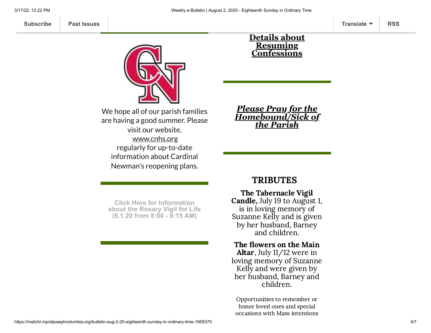**[Subscribe](http://eepurl.com/ded6Lz) [Past Issues](https://us9.campaign-archive.com/home/?u=7399f6b35c8ab775fb1714c3d&id=770b4a80d3) [Translate](javascript:;) [RSS](https://us9.campaign-archive.com/feed?u=7399f6b35c8ab775fb1714c3d&id=770b4a80d3)**



We hope all of our parish families are having a good summer. Please visit our website, [www.cnhs.org](http://www.cnhs.org/) regularly for up-to-date information about Cardinal Newman's reopening plans.

#### **Click Here for Information [about the Rosary Vigil for Life](https://mcusercontent.com/7399f6b35c8ab775fb1714c3d/files/9f2ded0f-c452-4af0-88c7-08f865c482d1/Rosary_for_Life_PP_flyer_Aug_1_2020.pdf) (8.1.20 from 8:00 - 9:15 AM)**

#### **Details about Resuming [Confessions](https://www.stjosephcolumbia.org/confessions)**

*Please Pray for the [Homebound/Sick of](https://www.stjosephcolumbia.org/pray-for-the-homebound-sick-of-pari) the Parish*

### TRIBUTES

The Tabernacle Vigil Candle, July 19 to August 1, is in loving memory of Suzanne Kelly and is given by her husband, Barney and children.

#### The flowers on the Main Altar, July 11/12 were in

loving memory of Suzanne Kelly and were given by her husband, Barney and children.

Opportunities to remember or honor loved ones and special occasions with Mass intentions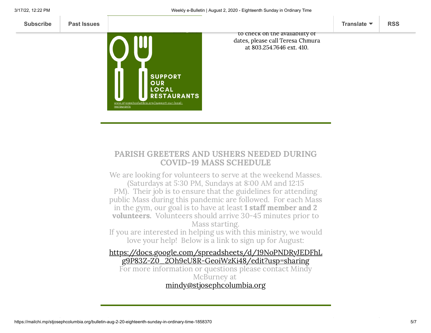

### PARISH GREETERS AND USHERS NEEDED DURING COVID-19 MASS SCHEDULE

We are looking for volunteers to serve at the weekend Masses. (Saturdays at 5:30 PM, Sundays at 8:00 AM and 12:15 PM). Their job is to ensure that the guidelines for attending public Mass during this pandemic are followed. For each Mass in the gym, our goal is to have at least 1 staff member and 2 volunteers. Volunteers should arrive 30-45 minutes prior to Mass starting.

If you are interested in helping us with this ministry, we would love your help! Below is a link to sign up for August:

[https://docs.google.com/spreadsheets/d/19NoPNDRyJEDFhL](https://docs.google.com/spreadsheets/d/19NoPNDRyJEDFhLg9P83Z-Z0_2Oh9eU8R-GeoiWzKi48/edit?usp=sharing) g9P83Z-Z0\_2Oh9eU8R-GeoiWzKi48/edit?usp=sharing For more information or questions please contact Mindy McBurney at [mindy@stjosephcolumbia.org](mailto:mindy@stjosephcolumbia.org)